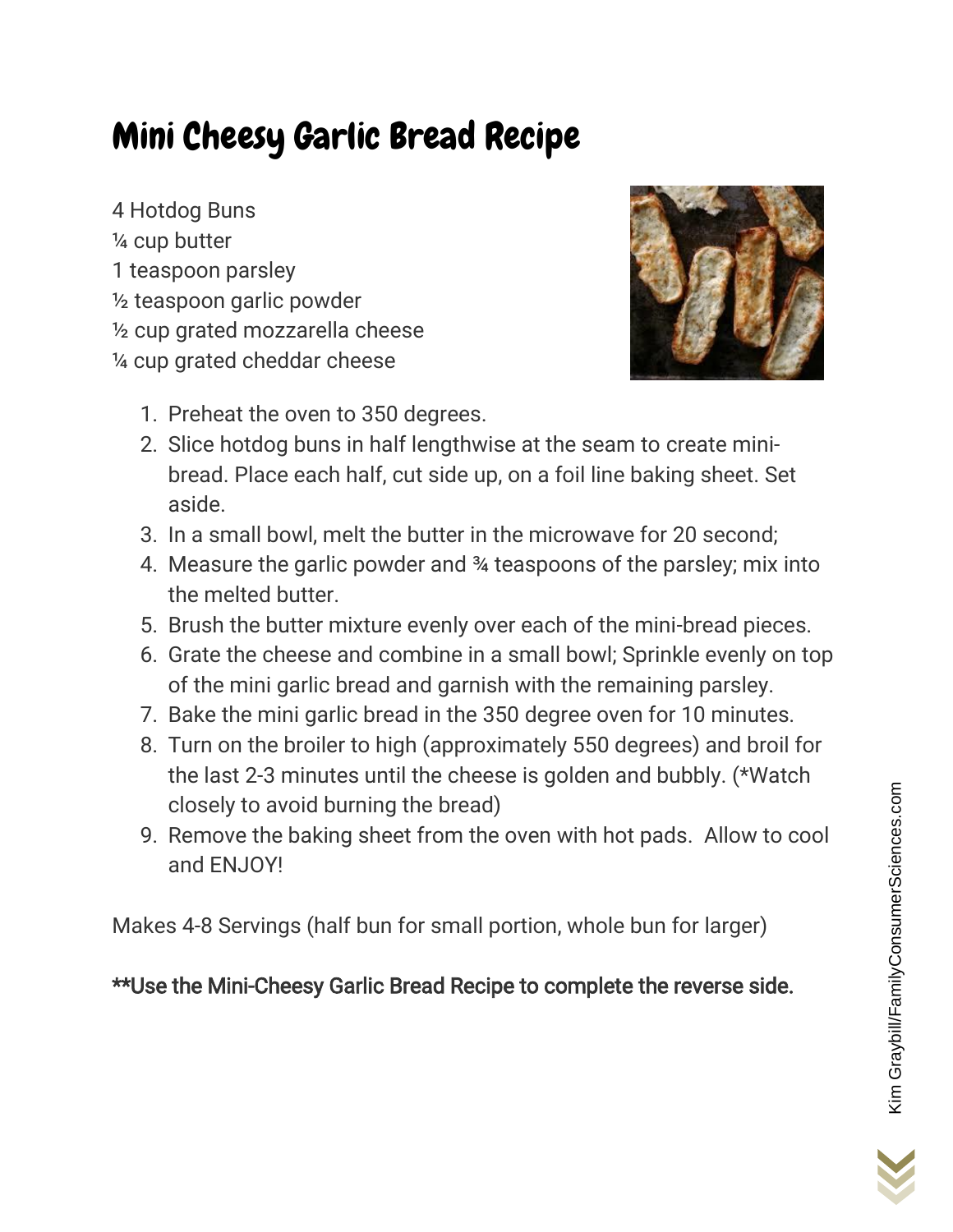## Mini Cheesy Garlic Bread Recipe

4 Hotdog Buns ¼ cup butter 1 teaspoon parsley ½ teaspoon garlic powder ½ cup grated mozzarella cheese ¼ cup grated cheddar cheese



- 1. Preheat the oven to 350 degrees.
- 2. Slice hotdog buns in half lengthwise at the seam to create minibread. Place each half, cut side up, on a foil line baking sheet. Set aside.
- 3. In a small bowl, melt the butter in the microwave for 20 second;
- 4. Measure the garlic powder and ¾ teaspoons of the parsley; mix into the melted butter.
- 5. Brush the butter mixture evenly over each of the mini-bread pieces.
- 6. Grate the cheese and combine in a small bowl; Sprinkle evenly on top of the mini garlic bread and garnish with the remaining parsley.
- 7. Bake the mini garlic bread in the 350 degree oven for 10 minutes.
- 8. Turn on the broiler to high (approximately 550 degrees) and broil for the last 2-3 minutes until the cheese is golden and bubbly. (\*Watch closely to avoid burning the bread)
- 9. Remove the baking sheet from the oven with hot pads. Allow to cool and ENJOY!

Makes 4-8 Servings (half bun for small portion, whole bun for larger)

## \*\*Use the Mini-Cheesy Garlic Bread Recipe to complete the reverse side.